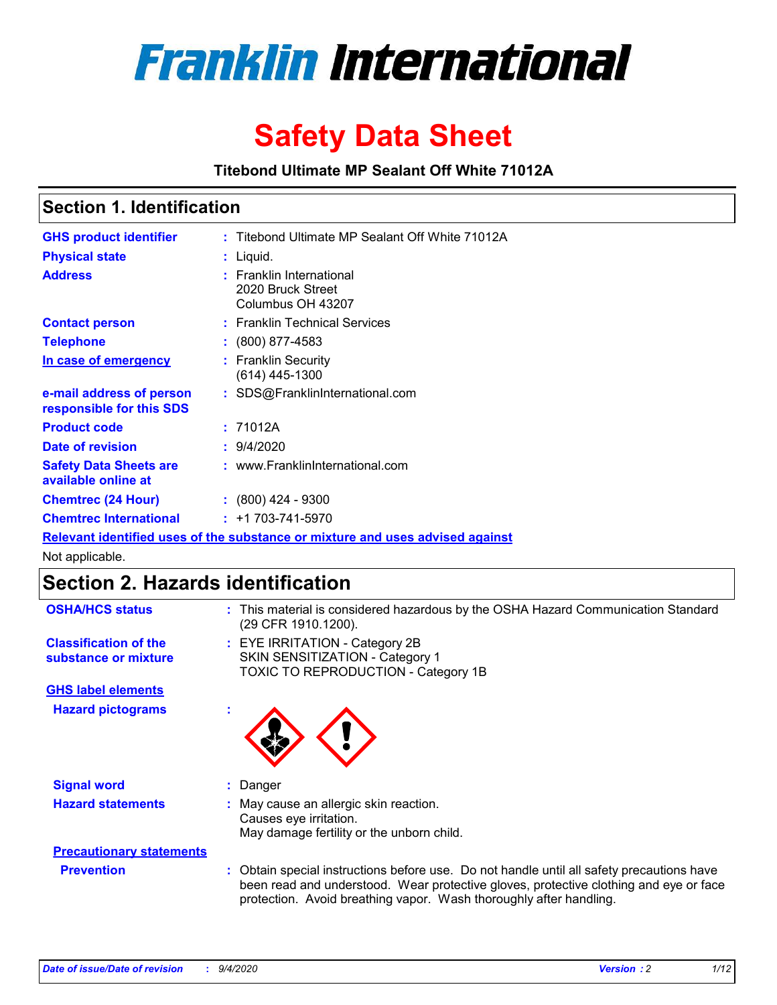

# **Safety Data Sheet**

**Titebond Ultimate MP Sealant Off White 71012A**

### **Section 1. Identification**

| <b>GHS product identifier</b>                                                 |  | : Titebond Ultimate MP Sealant Off White 71012A                    |  |
|-------------------------------------------------------------------------------|--|--------------------------------------------------------------------|--|
| <b>Physical state</b>                                                         |  | : Liquid.                                                          |  |
| <b>Address</b>                                                                |  | : Franklin International<br>2020 Bruck Street<br>Columbus OH 43207 |  |
| <b>Contact person</b>                                                         |  | : Franklin Technical Services                                      |  |
| <b>Telephone</b>                                                              |  | $\colon$ (800) 877-4583                                            |  |
| In case of emergency                                                          |  | : Franklin Security<br>$(614)$ 445-1300                            |  |
| e-mail address of person<br>responsible for this SDS                          |  | : SDS@FranklinInternational.com                                    |  |
| <b>Product code</b>                                                           |  | : 71012A                                                           |  |
| Date of revision                                                              |  | : 9/4/2020                                                         |  |
| <b>Safety Data Sheets are</b><br>available online at                          |  | : www.FranklinInternational.com                                    |  |
| <b>Chemtrec (24 Hour)</b>                                                     |  | $\div$ (800) 424 - 9300                                            |  |
| <b>Chemtrec International</b>                                                 |  | $: +1703 - 741 - 5970$                                             |  |
| Relevant identified uses of the substance or mixture and uses advised against |  |                                                                    |  |

Not applicable.

# **Section 2. Hazards identification**

| <b>OSHA/HCS status</b>                               |    | : This material is considered hazardous by the OSHA Hazard Communication Standard<br>(29 CFR 1910.1200).                                                                                                                                                 |
|------------------------------------------------------|----|----------------------------------------------------------------------------------------------------------------------------------------------------------------------------------------------------------------------------------------------------------|
| <b>Classification of the</b><br>substance or mixture |    | : EYE IRRITATION - Category 2B<br>SKIN SENSITIZATION - Category 1<br>TOXIC TO REPRODUCTION - Category 1B                                                                                                                                                 |
| <b>GHS label elements</b>                            |    |                                                                                                                                                                                                                                                          |
| <b>Hazard pictograms</b>                             | ٠  |                                                                                                                                                                                                                                                          |
| <b>Signal word</b>                                   | ÷. | Danger                                                                                                                                                                                                                                                   |
| <b>Hazard statements</b>                             |    | May cause an allergic skin reaction.<br>Causes eye irritation.<br>May damage fertility or the unborn child.                                                                                                                                              |
| <b>Precautionary statements</b>                      |    |                                                                                                                                                                                                                                                          |
| <b>Prevention</b>                                    |    | : Obtain special instructions before use. Do not handle until all safety precautions have<br>been read and understood. Wear protective gloves, protective clothing and eye or face<br>protection. Avoid breathing vapor. Wash thoroughly after handling. |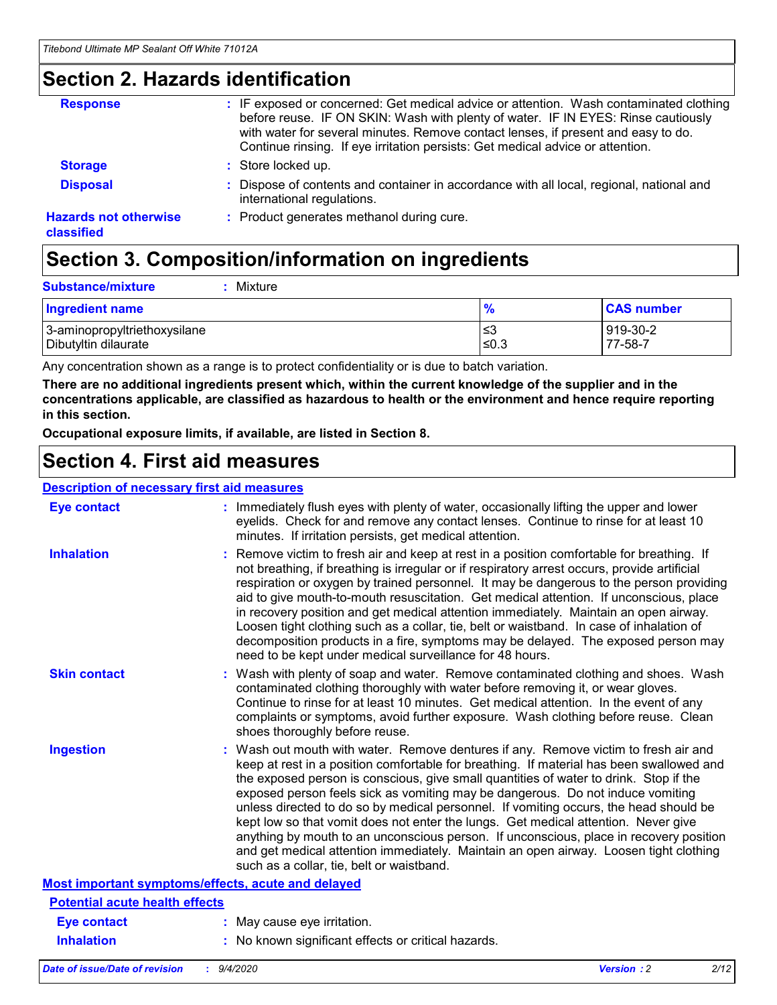## **Section 2. Hazards identification**

| <b>Response</b>                            | : IF exposed or concerned: Get medical advice or attention. Wash contaminated clothing<br>before reuse. IF ON SKIN: Wash with plenty of water. IF IN EYES: Rinse cautiously<br>with water for several minutes. Remove contact lenses, if present and easy to do.<br>Continue rinsing. If eye irritation persists: Get medical advice or attention. |
|--------------------------------------------|----------------------------------------------------------------------------------------------------------------------------------------------------------------------------------------------------------------------------------------------------------------------------------------------------------------------------------------------------|
| <b>Storage</b>                             | : Store locked up.                                                                                                                                                                                                                                                                                                                                 |
| <b>Disposal</b>                            | : Dispose of contents and container in accordance with all local, regional, national and<br>international regulations.                                                                                                                                                                                                                             |
| <b>Hazards not otherwise</b><br>classified | : Product generates methanol during cure.                                                                                                                                                                                                                                                                                                          |

# **Section 3. Composition/information on ingredients**

| <b>Ingredient name</b>       | $\frac{9}{6}$ | <b>CAS number</b> |
|------------------------------|---------------|-------------------|
| 3-aminopropyltriethoxysilane | ≤3            | 919-30-2          |
| Dibutyltin dilaurate         | ∣≤0.3         | 77-58-7           |

Any concentration shown as a range is to protect confidentiality or is due to batch variation.

**There are no additional ingredients present which, within the current knowledge of the supplier and in the concentrations applicable, are classified as hazardous to health or the environment and hence require reporting in this section.**

**Occupational exposure limits, if available, are listed in Section 8.**

### **Section 4. First aid measures**

| <b>Description of necessary first aid measures</b> |                                                                                                                                                                                                                                                                                                                                                                                                                                                                                                                                                                                                                                                                                                                                                                           |
|----------------------------------------------------|---------------------------------------------------------------------------------------------------------------------------------------------------------------------------------------------------------------------------------------------------------------------------------------------------------------------------------------------------------------------------------------------------------------------------------------------------------------------------------------------------------------------------------------------------------------------------------------------------------------------------------------------------------------------------------------------------------------------------------------------------------------------------|
| <b>Eye contact</b>                                 | : Immediately flush eyes with plenty of water, occasionally lifting the upper and lower<br>eyelids. Check for and remove any contact lenses. Continue to rinse for at least 10<br>minutes. If irritation persists, get medical attention.                                                                                                                                                                                                                                                                                                                                                                                                                                                                                                                                 |
| <b>Inhalation</b>                                  | : Remove victim to fresh air and keep at rest in a position comfortable for breathing. If<br>not breathing, if breathing is irregular or if respiratory arrest occurs, provide artificial<br>respiration or oxygen by trained personnel. It may be dangerous to the person providing<br>aid to give mouth-to-mouth resuscitation. Get medical attention. If unconscious, place<br>in recovery position and get medical attention immediately. Maintain an open airway.<br>Loosen tight clothing such as a collar, tie, belt or waistband. In case of inhalation of<br>decomposition products in a fire, symptoms may be delayed. The exposed person may<br>need to be kept under medical surveillance for 48 hours.                                                       |
| <b>Skin contact</b>                                | : Wash with plenty of soap and water. Remove contaminated clothing and shoes. Wash<br>contaminated clothing thoroughly with water before removing it, or wear gloves.<br>Continue to rinse for at least 10 minutes. Get medical attention. In the event of any<br>complaints or symptoms, avoid further exposure. Wash clothing before reuse. Clean<br>shoes thoroughly before reuse.                                                                                                                                                                                                                                                                                                                                                                                     |
| <b>Ingestion</b>                                   | : Wash out mouth with water. Remove dentures if any. Remove victim to fresh air and<br>keep at rest in a position comfortable for breathing. If material has been swallowed and<br>the exposed person is conscious, give small quantities of water to drink. Stop if the<br>exposed person feels sick as vomiting may be dangerous. Do not induce vomiting<br>unless directed to do so by medical personnel. If vomiting occurs, the head should be<br>kept low so that vomit does not enter the lungs. Get medical attention. Never give<br>anything by mouth to an unconscious person. If unconscious, place in recovery position<br>and get medical attention immediately. Maintain an open airway. Loosen tight clothing<br>such as a collar, tie, belt or waistband. |
| Most important symptoms/effects, acute and delayed |                                                                                                                                                                                                                                                                                                                                                                                                                                                                                                                                                                                                                                                                                                                                                                           |
| <b>Potential acute health effects</b>              |                                                                                                                                                                                                                                                                                                                                                                                                                                                                                                                                                                                                                                                                                                                                                                           |
| <b>Eye contact</b>                                 | : May cause eye irritation.                                                                                                                                                                                                                                                                                                                                                                                                                                                                                                                                                                                                                                                                                                                                               |
| <b>Inhalation</b>                                  | : No known significant effects or critical hazards.                                                                                                                                                                                                                                                                                                                                                                                                                                                                                                                                                                                                                                                                                                                       |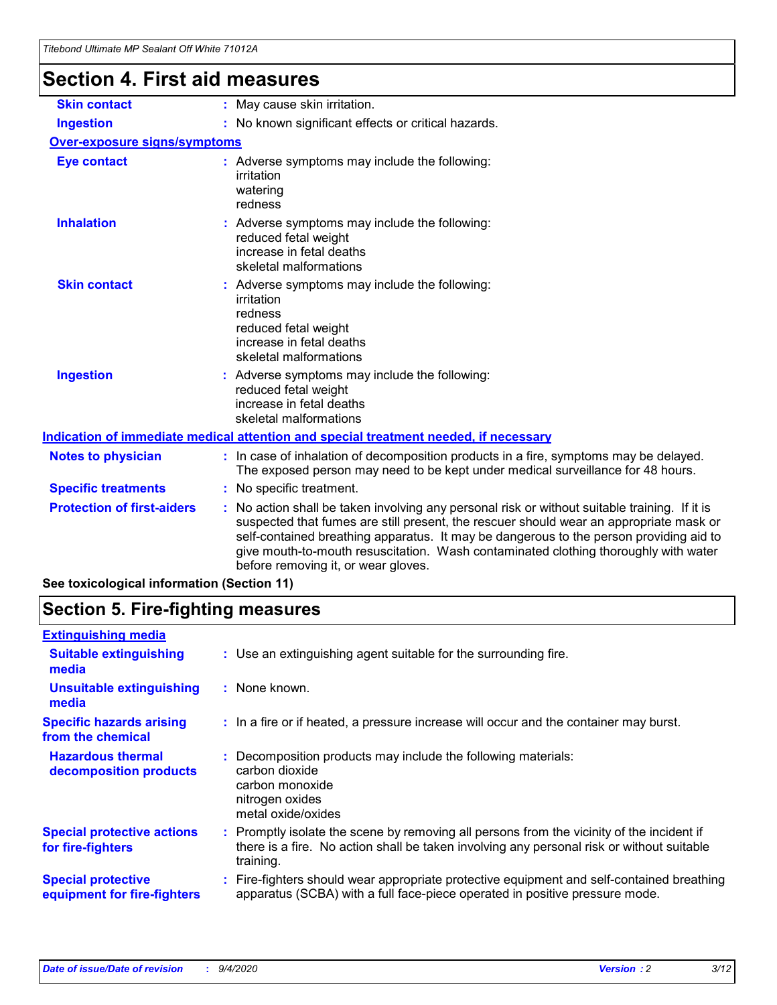# **Section 4. First aid measures**

| <b>Skin contact</b>                        | May cause skin irritation.<br>÷.                                                                                                                                                                                                                                                                                                                                                                              |  |  |
|--------------------------------------------|---------------------------------------------------------------------------------------------------------------------------------------------------------------------------------------------------------------------------------------------------------------------------------------------------------------------------------------------------------------------------------------------------------------|--|--|
| <b>Ingestion</b>                           | : No known significant effects or critical hazards.                                                                                                                                                                                                                                                                                                                                                           |  |  |
| <b>Over-exposure signs/symptoms</b>        |                                                                                                                                                                                                                                                                                                                                                                                                               |  |  |
| <b>Eye contact</b>                         | : Adverse symptoms may include the following:<br>irritation<br>watering<br>redness                                                                                                                                                                                                                                                                                                                            |  |  |
| <b>Inhalation</b>                          | : Adverse symptoms may include the following:<br>reduced fetal weight<br>increase in fetal deaths<br>skeletal malformations                                                                                                                                                                                                                                                                                   |  |  |
| <b>Skin contact</b>                        | Adverse symptoms may include the following:<br>irritation<br>redness<br>reduced fetal weight<br>increase in fetal deaths<br>skeletal malformations                                                                                                                                                                                                                                                            |  |  |
| <b>Ingestion</b>                           | : Adverse symptoms may include the following:<br>reduced fetal weight<br>increase in fetal deaths<br>skeletal malformations                                                                                                                                                                                                                                                                                   |  |  |
|                                            | Indication of immediate medical attention and special treatment needed, if necessary                                                                                                                                                                                                                                                                                                                          |  |  |
| <b>Notes to physician</b>                  | : In case of inhalation of decomposition products in a fire, symptoms may be delayed.<br>The exposed person may need to be kept under medical surveillance for 48 hours.                                                                                                                                                                                                                                      |  |  |
| <b>Specific treatments</b>                 | : No specific treatment.                                                                                                                                                                                                                                                                                                                                                                                      |  |  |
| <b>Protection of first-aiders</b>          | No action shall be taken involving any personal risk or without suitable training. If it is<br>suspected that fumes are still present, the rescuer should wear an appropriate mask or<br>self-contained breathing apparatus. It may be dangerous to the person providing aid to<br>give mouth-to-mouth resuscitation. Wash contaminated clothing thoroughly with water<br>before removing it, or wear gloves. |  |  |
| See toxicological information (Section 11) |                                                                                                                                                                                                                                                                                                                                                                                                               |  |  |

# **Section 5. Fire-fighting measures**

| <b>Extinguishing media</b><br>: Use an extinguishing agent suitable for the surrounding fire.<br><b>Suitable extinguishing</b><br>media<br><b>Unsuitable extinguishing</b><br>: None known.<br>media<br><b>Specific hazards arising</b><br>: In a fire or if heated, a pressure increase will occur and the container may burst.<br>from the chemical<br><b>Hazardous thermal</b><br>Decomposition products may include the following materials:<br>carbon dioxide<br>decomposition products<br>carbon monoxide<br>nitrogen oxides<br>metal oxide/oxides<br><b>Special protective actions</b><br>: Promptly isolate the scene by removing all persons from the vicinity of the incident if<br>there is a fire. No action shall be taken involving any personal risk or without suitable<br>for fire-fighters<br>training.<br><b>Special protective</b><br>apparatus (SCBA) with a full face-piece operated in positive pressure mode.<br>equipment for fire-fighters |                                                                                           |
|----------------------------------------------------------------------------------------------------------------------------------------------------------------------------------------------------------------------------------------------------------------------------------------------------------------------------------------------------------------------------------------------------------------------------------------------------------------------------------------------------------------------------------------------------------------------------------------------------------------------------------------------------------------------------------------------------------------------------------------------------------------------------------------------------------------------------------------------------------------------------------------------------------------------------------------------------------------------|-------------------------------------------------------------------------------------------|
|                                                                                                                                                                                                                                                                                                                                                                                                                                                                                                                                                                                                                                                                                                                                                                                                                                                                                                                                                                      |                                                                                           |
|                                                                                                                                                                                                                                                                                                                                                                                                                                                                                                                                                                                                                                                                                                                                                                                                                                                                                                                                                                      |                                                                                           |
|                                                                                                                                                                                                                                                                                                                                                                                                                                                                                                                                                                                                                                                                                                                                                                                                                                                                                                                                                                      |                                                                                           |
|                                                                                                                                                                                                                                                                                                                                                                                                                                                                                                                                                                                                                                                                                                                                                                                                                                                                                                                                                                      |                                                                                           |
|                                                                                                                                                                                                                                                                                                                                                                                                                                                                                                                                                                                                                                                                                                                                                                                                                                                                                                                                                                      |                                                                                           |
|                                                                                                                                                                                                                                                                                                                                                                                                                                                                                                                                                                                                                                                                                                                                                                                                                                                                                                                                                                      |                                                                                           |
|                                                                                                                                                                                                                                                                                                                                                                                                                                                                                                                                                                                                                                                                                                                                                                                                                                                                                                                                                                      | : Fire-fighters should wear appropriate protective equipment and self-contained breathing |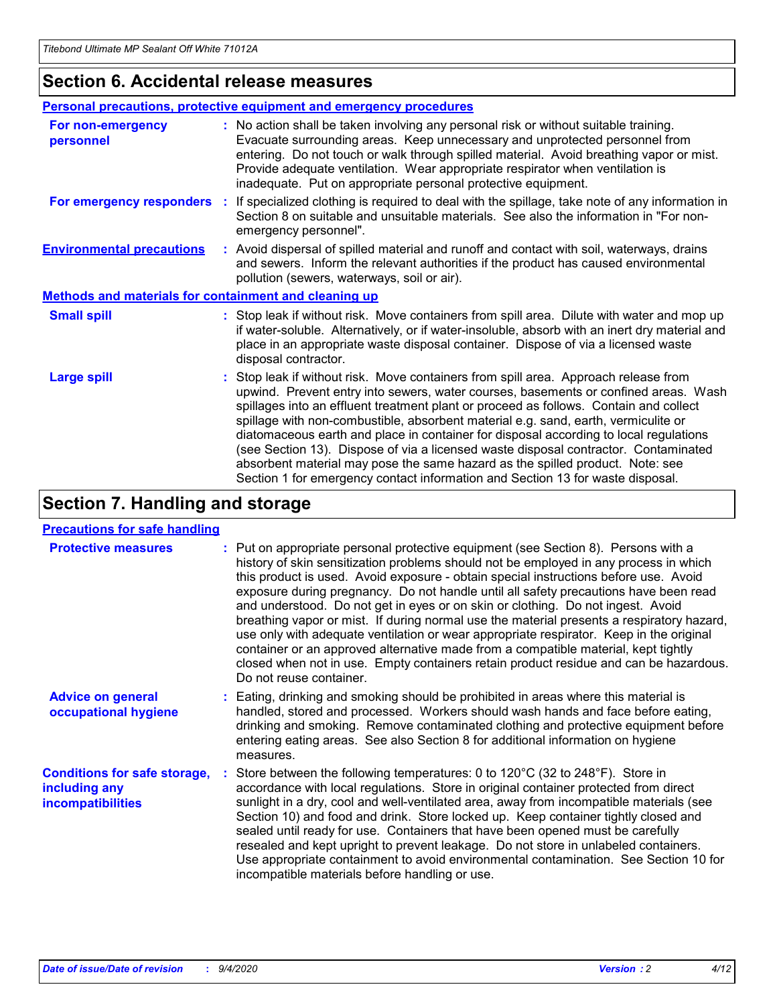### **Section 6. Accidental release measures**

|                                                              | Personal precautions, protective equipment and emergency procedures                                                                                                                                                                                                                                                                                                                                                                                                                                                                                                                                                                                                                                          |
|--------------------------------------------------------------|--------------------------------------------------------------------------------------------------------------------------------------------------------------------------------------------------------------------------------------------------------------------------------------------------------------------------------------------------------------------------------------------------------------------------------------------------------------------------------------------------------------------------------------------------------------------------------------------------------------------------------------------------------------------------------------------------------------|
| For non-emergency<br>personnel                               | : No action shall be taken involving any personal risk or without suitable training.<br>Evacuate surrounding areas. Keep unnecessary and unprotected personnel from<br>entering. Do not touch or walk through spilled material. Avoid breathing vapor or mist.<br>Provide adequate ventilation. Wear appropriate respirator when ventilation is<br>inadequate. Put on appropriate personal protective equipment.                                                                                                                                                                                                                                                                                             |
| For emergency responders                                     | : If specialized clothing is required to deal with the spillage, take note of any information in<br>Section 8 on suitable and unsuitable materials. See also the information in "For non-<br>emergency personnel".                                                                                                                                                                                                                                                                                                                                                                                                                                                                                           |
| <b>Environmental precautions</b>                             | : Avoid dispersal of spilled material and runoff and contact with soil, waterways, drains<br>and sewers. Inform the relevant authorities if the product has caused environmental<br>pollution (sewers, waterways, soil or air).                                                                                                                                                                                                                                                                                                                                                                                                                                                                              |
| <b>Methods and materials for containment and cleaning up</b> |                                                                                                                                                                                                                                                                                                                                                                                                                                                                                                                                                                                                                                                                                                              |
| <b>Small spill</b>                                           | : Stop leak if without risk. Move containers from spill area. Dilute with water and mop up<br>if water-soluble. Alternatively, or if water-insoluble, absorb with an inert dry material and<br>place in an appropriate waste disposal container. Dispose of via a licensed waste<br>disposal contractor.                                                                                                                                                                                                                                                                                                                                                                                                     |
| <b>Large spill</b>                                           | : Stop leak if without risk. Move containers from spill area. Approach release from<br>upwind. Prevent entry into sewers, water courses, basements or confined areas. Wash<br>spillages into an effluent treatment plant or proceed as follows. Contain and collect<br>spillage with non-combustible, absorbent material e.g. sand, earth, vermiculite or<br>diatomaceous earth and place in container for disposal according to local regulations<br>(see Section 13). Dispose of via a licensed waste disposal contractor. Contaminated<br>absorbent material may pose the same hazard as the spilled product. Note: see<br>Section 1 for emergency contact information and Section 13 for waste disposal. |

## **Section 7. Handling and storage**

### **Precautions for safe handling**

| <b>Protective measures</b>                                                       | : Put on appropriate personal protective equipment (see Section 8). Persons with a<br>history of skin sensitization problems should not be employed in any process in which<br>this product is used. Avoid exposure - obtain special instructions before use. Avoid<br>exposure during pregnancy. Do not handle until all safety precautions have been read<br>and understood. Do not get in eyes or on skin or clothing. Do not ingest. Avoid<br>breathing vapor or mist. If during normal use the material presents a respiratory hazard,<br>use only with adequate ventilation or wear appropriate respirator. Keep in the original<br>container or an approved alternative made from a compatible material, kept tightly<br>closed when not in use. Empty containers retain product residue and can be hazardous.<br>Do not reuse container. |
|----------------------------------------------------------------------------------|--------------------------------------------------------------------------------------------------------------------------------------------------------------------------------------------------------------------------------------------------------------------------------------------------------------------------------------------------------------------------------------------------------------------------------------------------------------------------------------------------------------------------------------------------------------------------------------------------------------------------------------------------------------------------------------------------------------------------------------------------------------------------------------------------------------------------------------------------|
| <b>Advice on general</b><br>occupational hygiene                                 | : Eating, drinking and smoking should be prohibited in areas where this material is<br>handled, stored and processed. Workers should wash hands and face before eating,<br>drinking and smoking. Remove contaminated clothing and protective equipment before<br>entering eating areas. See also Section 8 for additional information on hygiene<br>measures.                                                                                                                                                                                                                                                                                                                                                                                                                                                                                    |
| <b>Conditions for safe storage,</b><br>including any<br><i>incompatibilities</i> | Store between the following temperatures: 0 to 120°C (32 to 248°F). Store in<br>accordance with local regulations. Store in original container protected from direct<br>sunlight in a dry, cool and well-ventilated area, away from incompatible materials (see<br>Section 10) and food and drink. Store locked up. Keep container tightly closed and<br>sealed until ready for use. Containers that have been opened must be carefully<br>resealed and kept upright to prevent leakage. Do not store in unlabeled containers.<br>Use appropriate containment to avoid environmental contamination. See Section 10 for<br>incompatible materials before handling or use.                                                                                                                                                                         |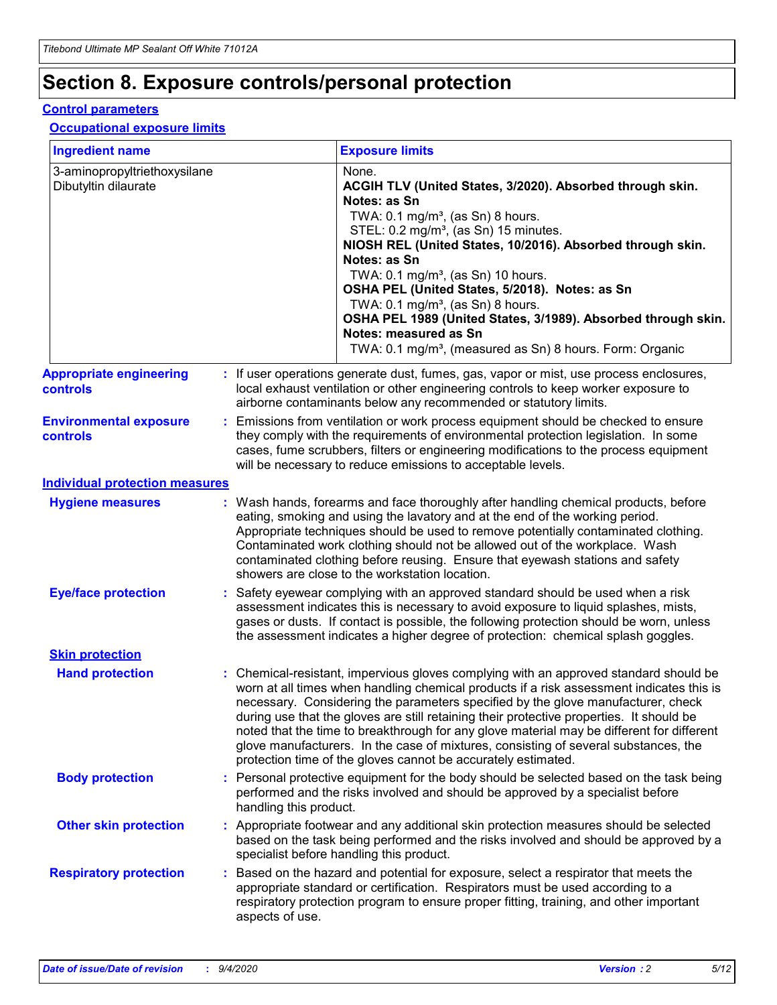# **Section 8. Exposure controls/personal protection**

### **Control parameters**

### **Occupational exposure limits**

| <b>Ingredient name</b>                               |    |                        | <b>Exposure limits</b>                                                                                                                                                                                                                                                                                                                                                                                                                                                                                                                                                                                                 |
|------------------------------------------------------|----|------------------------|------------------------------------------------------------------------------------------------------------------------------------------------------------------------------------------------------------------------------------------------------------------------------------------------------------------------------------------------------------------------------------------------------------------------------------------------------------------------------------------------------------------------------------------------------------------------------------------------------------------------|
| 3-aminopropyltriethoxysilane<br>Dibutyltin dilaurate |    |                        | None.<br>ACGIH TLV (United States, 3/2020). Absorbed through skin.<br>Notes: as Sn<br>TWA: $0.1 \text{ mg/m}^3$ , (as Sn) 8 hours.<br>STEL: 0.2 mg/m <sup>3</sup> , (as Sn) 15 minutes.<br>NIOSH REL (United States, 10/2016). Absorbed through skin.<br>Notes: as Sn<br>TWA: 0.1 mg/m <sup>3</sup> , (as Sn) 10 hours.<br>OSHA PEL (United States, 5/2018). Notes: as Sn<br>TWA: 0.1 mg/m <sup>3</sup> , (as Sn) 8 hours.<br>OSHA PEL 1989 (United States, 3/1989). Absorbed through skin.<br>Notes: measured as Sn<br>TWA: 0.1 mg/m <sup>3</sup> , (measured as Sn) 8 hours. Form: Organic                           |
| <b>Appropriate engineering</b><br>controls           |    |                        | : If user operations generate dust, fumes, gas, vapor or mist, use process enclosures,<br>local exhaust ventilation or other engineering controls to keep worker exposure to<br>airborne contaminants below any recommended or statutory limits.                                                                                                                                                                                                                                                                                                                                                                       |
| <b>Environmental exposure</b><br>controls            |    |                        | Emissions from ventilation or work process equipment should be checked to ensure<br>they comply with the requirements of environmental protection legislation. In some<br>cases, fume scrubbers, filters or engineering modifications to the process equipment<br>will be necessary to reduce emissions to acceptable levels.                                                                                                                                                                                                                                                                                          |
| <b>Individual protection measures</b>                |    |                        |                                                                                                                                                                                                                                                                                                                                                                                                                                                                                                                                                                                                                        |
| <b>Hygiene measures</b>                              |    |                        | : Wash hands, forearms and face thoroughly after handling chemical products, before<br>eating, smoking and using the lavatory and at the end of the working period.<br>Appropriate techniques should be used to remove potentially contaminated clothing.<br>Contaminated work clothing should not be allowed out of the workplace. Wash<br>contaminated clothing before reusing. Ensure that eyewash stations and safety<br>showers are close to the workstation location.                                                                                                                                            |
| <b>Eye/face protection</b>                           |    |                        | Safety eyewear complying with an approved standard should be used when a risk<br>assessment indicates this is necessary to avoid exposure to liquid splashes, mists,<br>gases or dusts. If contact is possible, the following protection should be worn, unless<br>the assessment indicates a higher degree of protection: chemical splash goggles.                                                                                                                                                                                                                                                                    |
| <b>Skin protection</b>                               |    |                        |                                                                                                                                                                                                                                                                                                                                                                                                                                                                                                                                                                                                                        |
| <b>Hand protection</b>                               |    |                        | : Chemical-resistant, impervious gloves complying with an approved standard should be<br>worn at all times when handling chemical products if a risk assessment indicates this is<br>necessary. Considering the parameters specified by the glove manufacturer, check<br>during use that the gloves are still retaining their protective properties. It should be<br>noted that the time to breakthrough for any glove material may be different for different<br>glove manufacturers. In the case of mixtures, consisting of several substances, the<br>protection time of the gloves cannot be accurately estimated. |
| <b>Body protection</b>                               |    | handling this product. | Personal protective equipment for the body should be selected based on the task being<br>performed and the risks involved and should be approved by a specialist before                                                                                                                                                                                                                                                                                                                                                                                                                                                |
| <b>Other skin protection</b>                         |    |                        | : Appropriate footwear and any additional skin protection measures should be selected<br>based on the task being performed and the risks involved and should be approved by a<br>specialist before handling this product.                                                                                                                                                                                                                                                                                                                                                                                              |
| <b>Respiratory protection</b>                        | ÷. | aspects of use.        | Based on the hazard and potential for exposure, select a respirator that meets the<br>appropriate standard or certification. Respirators must be used according to a<br>respiratory protection program to ensure proper fitting, training, and other important                                                                                                                                                                                                                                                                                                                                                         |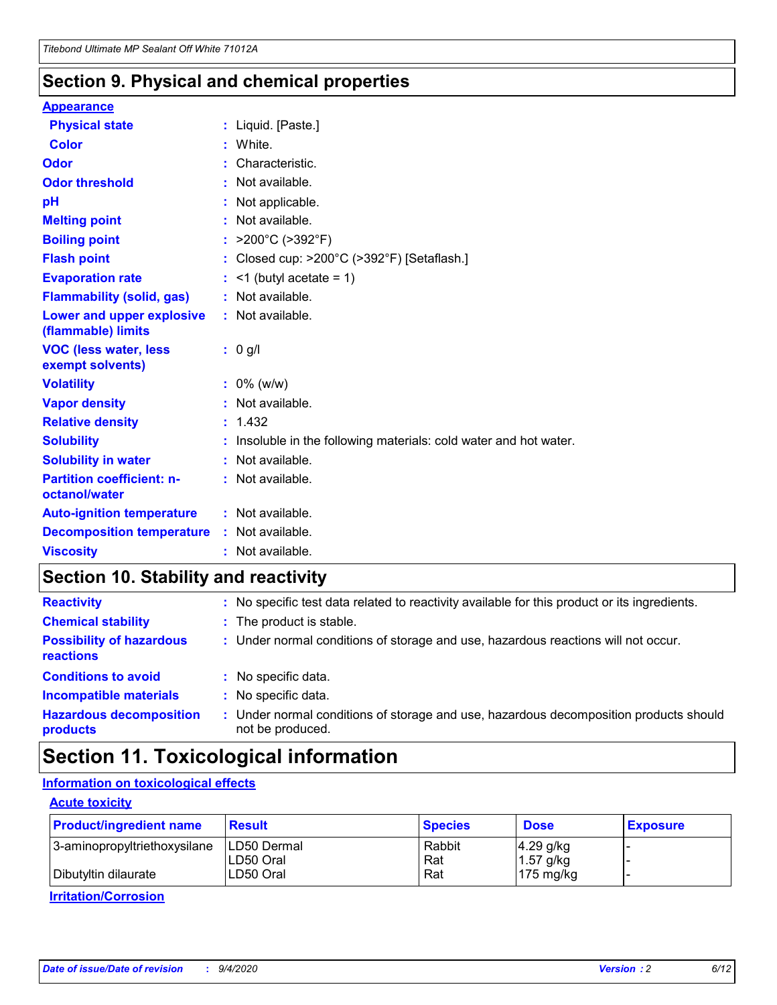### **Section 9. Physical and chemical properties**

### **Appearance**

| <b>Physical state</b>                             | : Liquid. [Paste.]                                              |
|---------------------------------------------------|-----------------------------------------------------------------|
| Color                                             | White.                                                          |
| Odor                                              | Characteristic.                                                 |
| <b>Odor threshold</b>                             | $:$ Not available.                                              |
| рH                                                | : Not applicable.                                               |
| <b>Melting point</b>                              | : Not available.                                                |
| <b>Boiling point</b>                              | : $>200^{\circ}$ C ( $>392^{\circ}$ F)                          |
| <b>Flash point</b>                                | : Closed cup: $>200^{\circ}$ C ( $>392^{\circ}$ F) [Setaflash.] |
| <b>Evaporation rate</b>                           | $:$ <1 (butyl acetate = 1)                                      |
| <b>Flammability (solid, gas)</b>                  | : Not available.                                                |
| Lower and upper explosive<br>(flammable) limits   | $:$ Not available.                                              |
| <b>VOC (less water, less</b><br>exempt solvents)  | : 0 g/l                                                         |
| <b>Volatility</b>                                 | $: 0\%$ (w/w)                                                   |
| <b>Vapor density</b>                              | : Not available.                                                |
| <b>Relative density</b>                           | : 1.432                                                         |
| <b>Solubility</b>                                 | Insoluble in the following materials: cold water and hot water. |
| <b>Solubility in water</b>                        | : Not available.                                                |
| <b>Partition coefficient: n-</b><br>octanol/water | $:$ Not available.                                              |
|                                                   |                                                                 |
| <b>Auto-ignition temperature</b>                  | $:$ Not available.                                              |
| <b>Decomposition temperature</b>                  | : Not available.                                                |

## **Section 10. Stability and reactivity**

| <b>Reactivity</b>                            |    | : No specific test data related to reactivity available for this product or its ingredients.            |
|----------------------------------------------|----|---------------------------------------------------------------------------------------------------------|
| <b>Chemical stability</b>                    |    | : The product is stable.                                                                                |
| <b>Possibility of hazardous</b><br>reactions |    | : Under normal conditions of storage and use, hazardous reactions will not occur.                       |
| <b>Conditions to avoid</b>                   |    | : No specific data.                                                                                     |
| <b>Incompatible materials</b>                | ٠. | No specific data.                                                                                       |
| <b>Hazardous decomposition</b><br>products   | ÷. | Under normal conditions of storage and use, hazardous decomposition products should<br>not be produced. |

## **Section 11. Toxicological information**

### **Information on toxicological effects**

### **Acute toxicity**

| <b>Product/ingredient name</b> | <b>Result</b>           | <b>Species</b> | <b>Dose</b>                | <b>Exposure</b> |
|--------------------------------|-------------------------|----------------|----------------------------|-----------------|
| 3-aminopropyltriethoxysilane   | <b>ILD50 Dermal</b>     | Rabbit         | 4.29 g/kg                  |                 |
| Dibutyltin dilaurate           | ILD50 Oral<br>LD50 Oral | Rat<br>Rat     | $1.57$ g/kg<br>175 $mg/kg$ |                 |
|                                |                         |                |                            |                 |

**Irritation/Corrosion**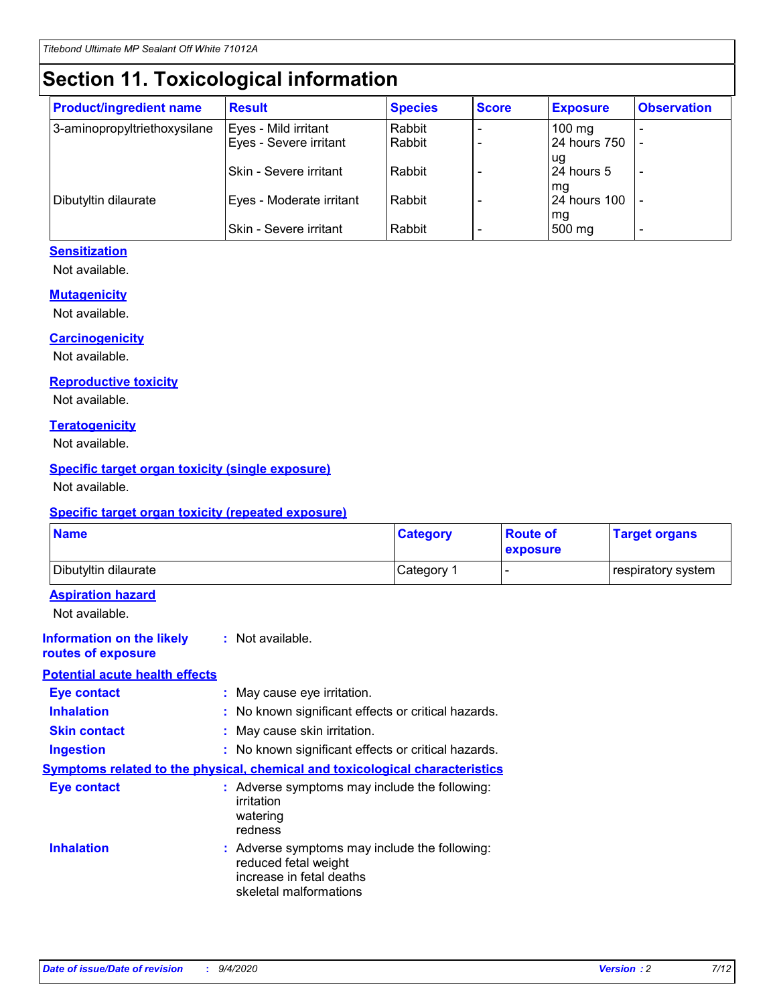# **Section 11. Toxicological information**

| <b>Product/ingredient name</b> | <b>Result</b>            | <b>Species</b> | <b>Score</b> | <b>Exposure</b>           | <b>Observation</b> |
|--------------------------------|--------------------------|----------------|--------------|---------------------------|--------------------|
| 3-aminopropyltriethoxysilane   | Eyes - Mild irritant     | Rabbit         |              | $100$ mg                  |                    |
|                                | Eyes - Severe irritant   | Rabbit         |              | 24 hours 750              |                    |
|                                |                          |                |              | ug                        |                    |
|                                | Skin - Severe irritant   | Rabbit         |              | 24 hours 5                | -                  |
| Dibutyltin dilaurate           | Eyes - Moderate irritant | Rabbit         |              | mq<br><b>24 hours 100</b> |                    |
|                                |                          |                |              | mg                        |                    |
|                                | Skin - Severe irritant   | Rabbit         |              | 500 mg                    |                    |

### **Sensitization**

Not available.

### **Mutagenicity**

Not available.

### **Carcinogenicity**

Not available.

#### **Reproductive toxicity**

Not available.

### **Teratogenicity**

Not available.

### **Specific target organ toxicity (single exposure)**

Not available.

### **Specific target organ toxicity (repeated exposure)**

| <b>Name</b>                                                                         |                                                                            | <b>Category</b>                                     | <b>Route of</b><br>exposure | <b>Target organs</b> |  |  |
|-------------------------------------------------------------------------------------|----------------------------------------------------------------------------|-----------------------------------------------------|-----------------------------|----------------------|--|--|
| Dibutyltin dilaurate                                                                |                                                                            | Category 1                                          |                             | respiratory system   |  |  |
| <b>Aspiration hazard</b><br>Not available.                                          |                                                                            |                                                     |                             |                      |  |  |
| <b>Information on the likely</b><br>routes of exposure                              | : Not available.                                                           |                                                     |                             |                      |  |  |
| <b>Potential acute health effects</b>                                               |                                                                            |                                                     |                             |                      |  |  |
| <b>Eye contact</b>                                                                  | : May cause eye irritation.                                                |                                                     |                             |                      |  |  |
| <b>Inhalation</b>                                                                   |                                                                            | : No known significant effects or critical hazards. |                             |                      |  |  |
| <b>Skin contact</b>                                                                 |                                                                            | : May cause skin irritation.                        |                             |                      |  |  |
| <b>Ingestion</b>                                                                    |                                                                            | : No known significant effects or critical hazards. |                             |                      |  |  |
| <b>Symptoms related to the physical, chemical and toxicological characteristics</b> |                                                                            |                                                     |                             |                      |  |  |
| <b>Eye contact</b>                                                                  | irritation<br>watering<br>redness                                          | : Adverse symptoms may include the following:       |                             |                      |  |  |
| <b>Inhalation</b>                                                                   | reduced fetal weight<br>increase in fetal deaths<br>skeletal malformations | : Adverse symptoms may include the following:       |                             |                      |  |  |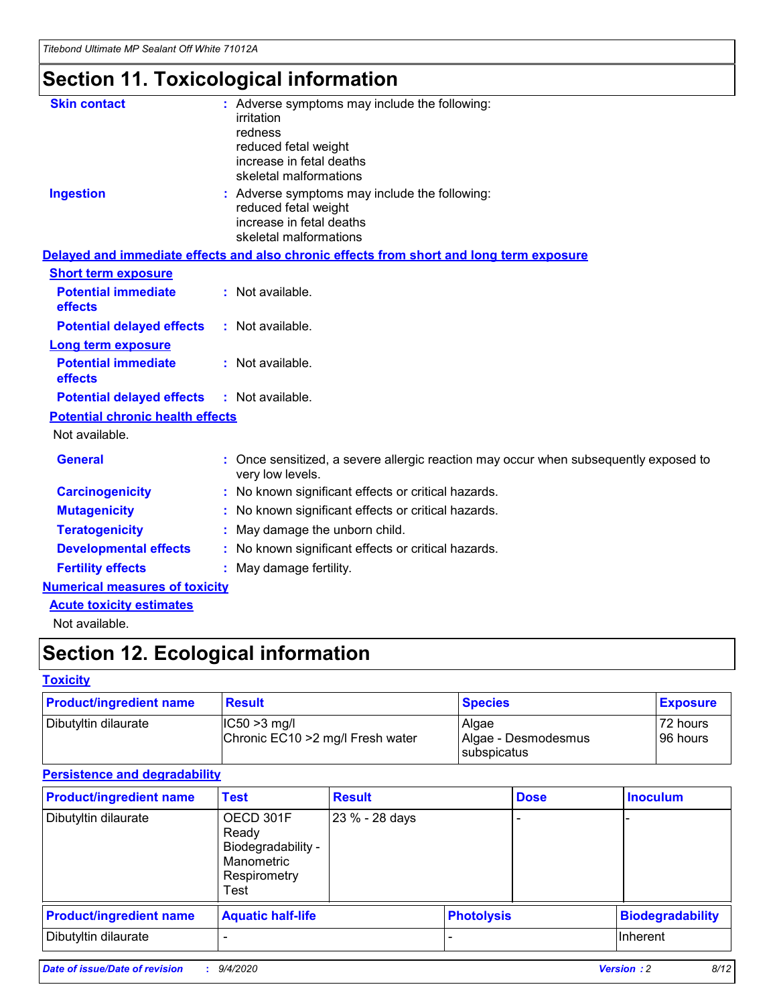# **Section 11. Toxicological information**

| <b>Skin contact</b>                     |                                                                                                          |
|-----------------------------------------|----------------------------------------------------------------------------------------------------------|
|                                         | : Adverse symptoms may include the following:<br>irritation                                              |
|                                         | redness                                                                                                  |
|                                         | reduced fetal weight                                                                                     |
|                                         | increase in fetal deaths                                                                                 |
|                                         | skeletal malformations                                                                                   |
| <b>Ingestion</b>                        | : Adverse symptoms may include the following:                                                            |
|                                         | reduced fetal weight                                                                                     |
|                                         | increase in fetal deaths                                                                                 |
|                                         | skeletal malformations                                                                                   |
|                                         | Delayed and immediate effects and also chronic effects from short and long term exposure                 |
| <b>Short term exposure</b>              |                                                                                                          |
| <b>Potential immediate</b>              | : Not available.                                                                                         |
| effects                                 |                                                                                                          |
| <b>Potential delayed effects</b>        | : Not available.                                                                                         |
| <b>Long term exposure</b>               |                                                                                                          |
| <b>Potential immediate</b>              | : Not available.                                                                                         |
| effects                                 |                                                                                                          |
| <b>Potential delayed effects</b>        | : Not available.                                                                                         |
| <b>Potential chronic health effects</b> |                                                                                                          |
| Not available.                          |                                                                                                          |
| <b>General</b>                          | : Once sensitized, a severe allergic reaction may occur when subsequently exposed to<br>very low levels. |
| <b>Carcinogenicity</b>                  | : No known significant effects or critical hazards.                                                      |
| <b>Mutagenicity</b>                     | No known significant effects or critical hazards.                                                        |
| <b>Teratogenicity</b>                   | May damage the unborn child.                                                                             |
| <b>Developmental effects</b>            | No known significant effects or critical hazards.                                                        |
| <b>Fertility effects</b>                | : May damage fertility.                                                                                  |
| <b>Numerical measures of toxicity</b>   |                                                                                                          |
| <b>Acute toxicity estimates</b>         |                                                                                                          |
|                                         |                                                                                                          |

Not available.

# **Section 12. Ecological information**

### **Toxicity**

| <b>Product/ingredient name</b> | <b>Result</b>                                       | <b>Species</b>               | <b>Exposure</b>       |
|--------------------------------|-----------------------------------------------------|------------------------------|-----------------------|
| Dibutyltin dilaurate           | $ CC50>3$ mg/l<br>Chronic EC10 > 2 mg/l Fresh water | Algae<br>Algae - Desmodesmus | 72 hours<br>196 hours |
|                                |                                                     | <b>I</b> subspicatus         |                       |

### **Persistence and degradability**

| <b>Product/ingredient name</b> | <b>Test</b>                                                                    | <b>Result</b>  |                   | <b>Dose</b> | <b>Inoculum</b>         |
|--------------------------------|--------------------------------------------------------------------------------|----------------|-------------------|-------------|-------------------------|
| Dibutyltin dilaurate           | OECD 301F<br>Ready<br>Biodegradability -<br>Manometric<br>Respirometry<br>Test | 23 % - 28 days |                   |             |                         |
| <b>Product/ingredient name</b> | <b>Aquatic half-life</b>                                                       |                | <b>Photolysis</b> |             | <b>Biodegradability</b> |
| Dibutyltin dilaurate           |                                                                                |                |                   |             | <b>Inherent</b>         |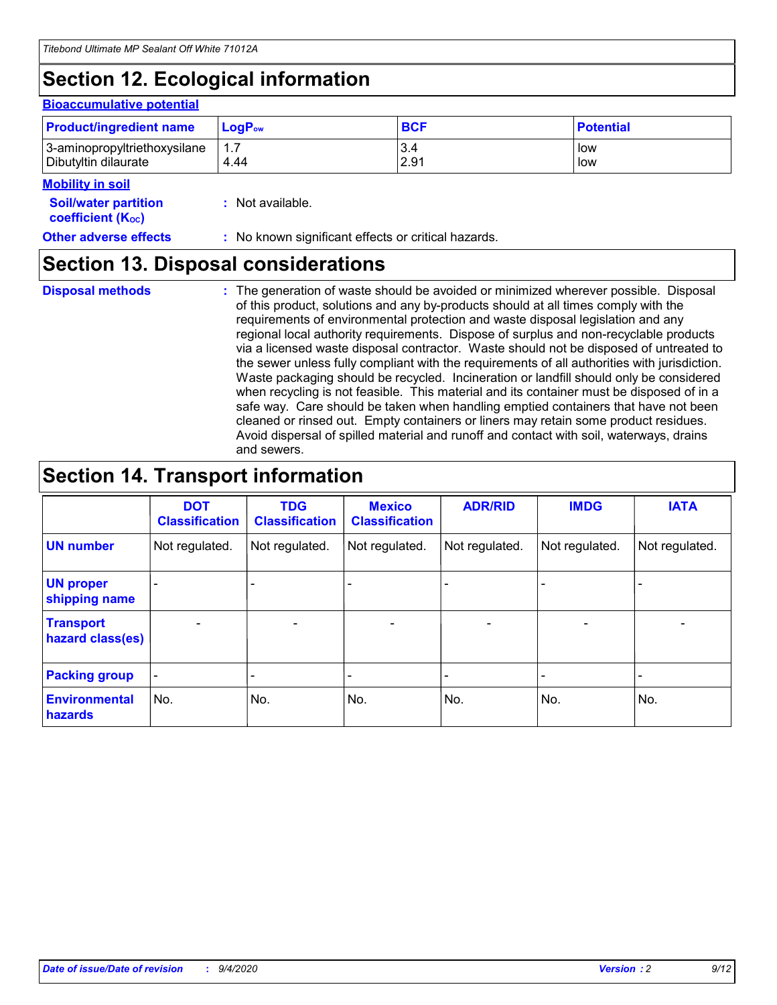# **Section 12. Ecological information**

### **Bioaccumulative potential**

| <b>Product/ingredient name</b> | <b>LogP</b> <sub>ow</sub> | <b>BCF</b> | <b>Potential</b> |
|--------------------------------|---------------------------|------------|------------------|
| 3-aminopropyltriethoxysilane   | 4.44                      | 3.4        | low              |
| Dibutyltin dilaurate           |                           | 2.91       | low              |

#### **Mobility in soil**

| <b>Soil/water partition</b> | : Not available. |
|-----------------------------|------------------|
| <b>coefficient (Koc)</b>    |                  |

**Other adverse effects** : No known significant effects or critical hazards.

### **Section 13. Disposal considerations**

**Disposal methods :**

The generation of waste should be avoided or minimized wherever possible. Disposal of this product, solutions and any by-products should at all times comply with the requirements of environmental protection and waste disposal legislation and any regional local authority requirements. Dispose of surplus and non-recyclable products via a licensed waste disposal contractor. Waste should not be disposed of untreated to the sewer unless fully compliant with the requirements of all authorities with jurisdiction. Waste packaging should be recycled. Incineration or landfill should only be considered when recycling is not feasible. This material and its container must be disposed of in a safe way. Care should be taken when handling emptied containers that have not been cleaned or rinsed out. Empty containers or liners may retain some product residues. Avoid dispersal of spilled material and runoff and contact with soil, waterways, drains and sewers.

## **Section 14. Transport information**

|                                      | <b>DOT</b><br><b>Classification</b> | <b>TDG</b><br><b>Classification</b> | <b>Mexico</b><br><b>Classification</b> | <b>ADR/RID</b>           | <b>IMDG</b>              | <b>IATA</b>    |
|--------------------------------------|-------------------------------------|-------------------------------------|----------------------------------------|--------------------------|--------------------------|----------------|
| <b>UN number</b>                     | Not regulated.                      | Not regulated.                      | Not regulated.                         | Not regulated.           | Not regulated.           | Not regulated. |
| <b>UN proper</b><br>shipping name    |                                     |                                     |                                        |                          |                          |                |
| <b>Transport</b><br>hazard class(es) |                                     | $\overline{\phantom{0}}$            | $\qquad \qquad \blacksquare$           | $\overline{\phantom{0}}$ | $\overline{\phantom{0}}$ |                |
| <b>Packing group</b>                 |                                     |                                     |                                        |                          |                          |                |
| <b>Environmental</b><br>hazards      | No.                                 | No.                                 | No.                                    | No.                      | No.                      | No.            |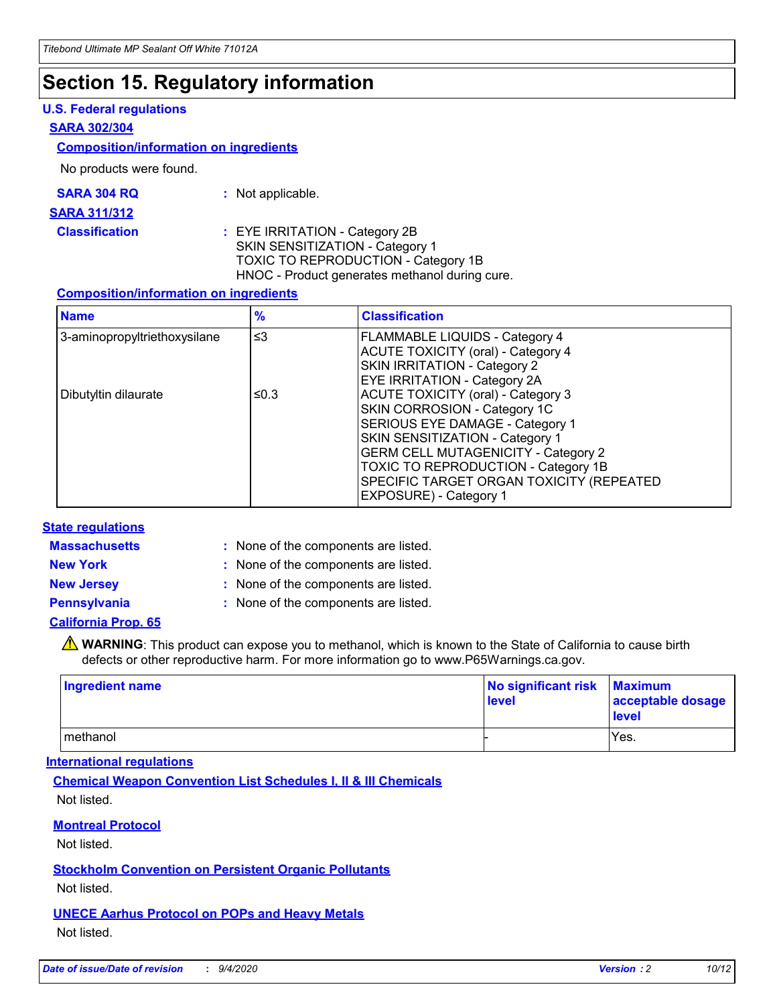## **Section 15. Regulatory information**

### **U.S. Federal regulations**

#### **SARA 302/304**

### **Composition/information on ingredients**

No products were found.

| SARA 304 RQ | Not applicable. |
|-------------|-----------------|
|-------------|-----------------|

#### **SARA 311/312**

**Classification :** EYE IRRITATION - Category 2B SKIN SENSITIZATION - Category 1 TOXIC TO REPRODUCTION - Category 1B HNOC - Product generates methanol during cure.

### **Composition/information on ingredients**

| <b>Name</b>                  | $\frac{9}{6}$ | <b>Classification</b>                                                                                                                                                                                                                                                                                      |
|------------------------------|---------------|------------------------------------------------------------------------------------------------------------------------------------------------------------------------------------------------------------------------------------------------------------------------------------------------------------|
| 3-aminopropyltriethoxysilane | $\leq$ 3      | <b>FLAMMABLE LIQUIDS - Category 4</b><br><b>ACUTE TOXICITY (oral) - Category 4</b><br><b>SKIN IRRITATION - Category 2</b><br>EYE IRRITATION - Category 2A                                                                                                                                                  |
| Dibutyltin dilaurate         | ≤0.3          | <b>ACUTE TOXICITY (oral) - Category 3</b><br>SKIN CORROSION - Category 1C<br>SERIOUS EYE DAMAGE - Category 1<br>SKIN SENSITIZATION - Category 1<br><b>GERM CELL MUTAGENICITY - Category 2</b><br>TOXIC TO REPRODUCTION - Category 1B<br>SPECIFIC TARGET ORGAN TOXICITY (REPEATED<br>EXPOSURE) - Category 1 |

### **State regulations**

**Massachusetts :**

: None of the components are listed.

**New York :** None of the components are listed.

**New Jersey :** None of the components are listed.

**Pennsylvania :** None of the components are listed.

### **California Prop. 65**

WARNING: This product can expose you to methanol, which is known to the State of California to cause birth defects or other reproductive harm. For more information go to www.P65Warnings.ca.gov.

| Ingredient name | No significant risk<br>level | <b>Maximum</b><br>acceptable dosage<br><b>level</b> |
|-----------------|------------------------------|-----------------------------------------------------|
| l methanol      |                              | Yes.                                                |

### **International regulations**

**Chemical Weapon Convention List Schedules I, II & III Chemicals** Not listed.

### **Montreal Protocol**

Not listed.

**Stockholm Convention on Persistent Organic Pollutants**

Not listed.

### **UNECE Aarhus Protocol on POPs and Heavy Metals** Not listed.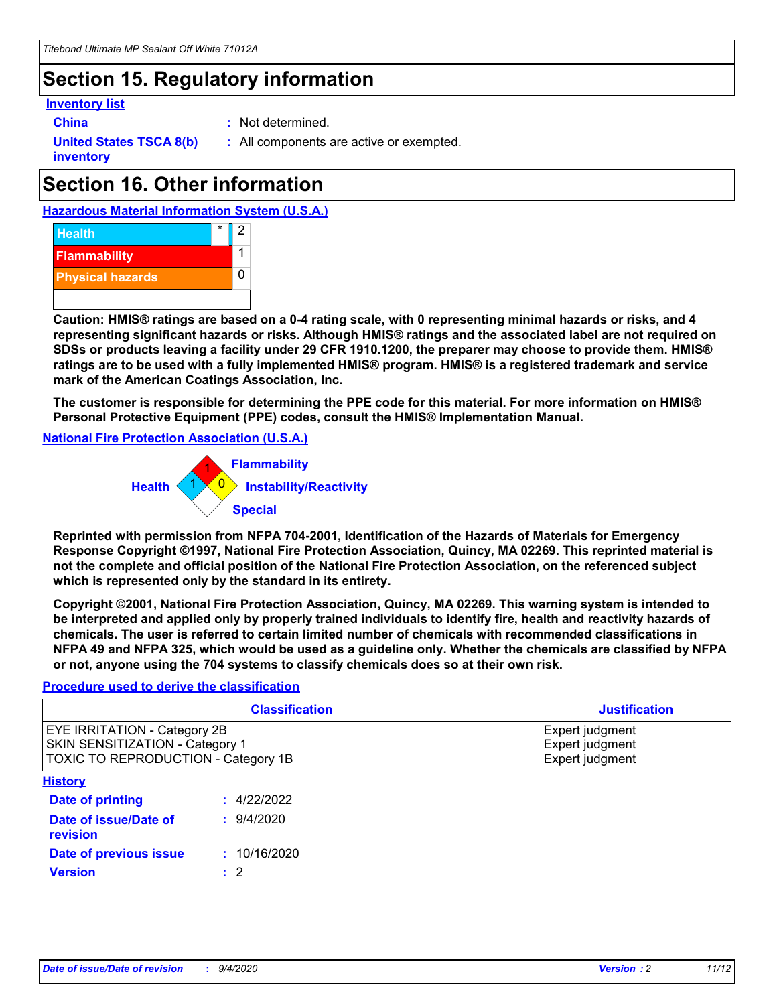# **Section 15. Regulatory information**

### **Inventory list**

- 
- **China :** Not determined.

**United States TSCA 8(b) inventory**

**:** All components are active or exempted.

# **Section 16. Other information**

**Hazardous Material Information System (U.S.A.)**



**Caution: HMIS® ratings are based on a 0-4 rating scale, with 0 representing minimal hazards or risks, and 4 representing significant hazards or risks. Although HMIS® ratings and the associated label are not required on SDSs or products leaving a facility under 29 CFR 1910.1200, the preparer may choose to provide them. HMIS® ratings are to be used with a fully implemented HMIS® program. HMIS® is a registered trademark and service mark of the American Coatings Association, Inc.**

**The customer is responsible for determining the PPE code for this material. For more information on HMIS® Personal Protective Equipment (PPE) codes, consult the HMIS® Implementation Manual.**

**National Fire Protection Association (U.S.A.)**



**Reprinted with permission from NFPA 704-2001, Identification of the Hazards of Materials for Emergency Response Copyright ©1997, National Fire Protection Association, Quincy, MA 02269. This reprinted material is not the complete and official position of the National Fire Protection Association, on the referenced subject which is represented only by the standard in its entirety.**

**Copyright ©2001, National Fire Protection Association, Quincy, MA 02269. This warning system is intended to be interpreted and applied only by properly trained individuals to identify fire, health and reactivity hazards of chemicals. The user is referred to certain limited number of chemicals with recommended classifications in NFPA 49 and NFPA 325, which would be used as a guideline only. Whether the chemicals are classified by NFPA or not, anyone using the 704 systems to classify chemicals does so at their own risk.**

### **Procedure used to derive the classification**

| <b>Classification</b>                                                                                         | <b>Justification</b>                                  |
|---------------------------------------------------------------------------------------------------------------|-------------------------------------------------------|
| <b>EYE IRRITATION - Category 2B</b><br>SKIN SENSITIZATION - Category 1<br>TOXIC TO REPRODUCTION - Category 1B | Expert judgment<br>Expert judgment<br>Expert judgment |
| <b>History</b>                                                                                                |                                                       |

| <u>.</u>                          |              |
|-----------------------------------|--------------|
| <b>Date of printing</b>           | : 4/22/2022  |
| Date of issue/Date of<br>revision | 9/4/2020     |
| Date of previous issue            | : 10/16/2020 |
| <b>Version</b>                    | $\cdot$ 2    |
|                                   |              |